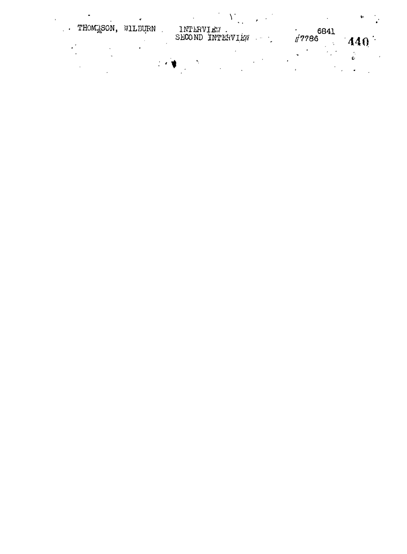| THOM <sub>2</sub> SON, | WILBURN | INTERVIEW        |                |      | ÷۰   |     |  |
|------------------------|---------|------------------|----------------|------|------|-----|--|
|                        |         | SECOND INTERVIEW | <b>Command</b> | 7786 | 6841 | 440 |  |
|                        |         |                  |                |      |      |     |  |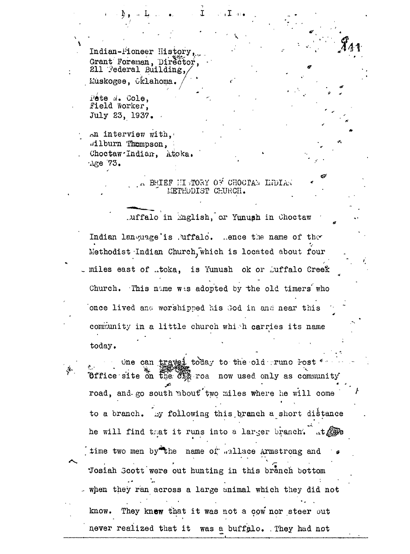Indian-Pioneer History, Grant Foreman, Director, 211 Federal Building, Muskogee, Oklahoma.

 $\overline{\mathbf{A}}$ f**ete** d. Cole,<br>Field Worker .Field Worker, July 23, 1937. -

يتعليم

An interview with, .dlburn Thompson, Choctaw<sup>-Indian</sup>, Atoka.  $\cdot$ Age 73.

> a BRIEF HISTORY OF CHOCTAR INDIAN LIETHUDI3T CHURCH.

 $\mathbf{I}$  ,  $\mathbf{I}$  ,  $\mathbf{I}$  and

.uffalo in inglish, or Yunush in Choctaw Indian language'is .uffalo. .ence the name of the Methodist Indian Church, which is located about four  $\Box$  miles east of  $\Box$ toka, is Yunush ok or  $\Box$ uffalo Creek Church. This name was adopted by the old timers who once lived and worshipped his God in and near this community in a little church which carries its name  $\mathbf{today}$ .

 $\omega$  one can travel to day to the old  $\tau$  runo Post Office site on the  $\mathfrak{F}^{\text{max}}_{\mathbb{R}}$  roa now used only as community road, and-go south "about"'two miles where he will come to a branch. by following this branch a short distance he will find that it runs into a larger branch. Lt time two men by the name of; .allace Armstrong and "Josiah Scott were out hunting in this branch bottom .- when they ran across a large animal which they did not know. They knew that it was not a cow nor steer out never realized that it was a buffalo. They had not